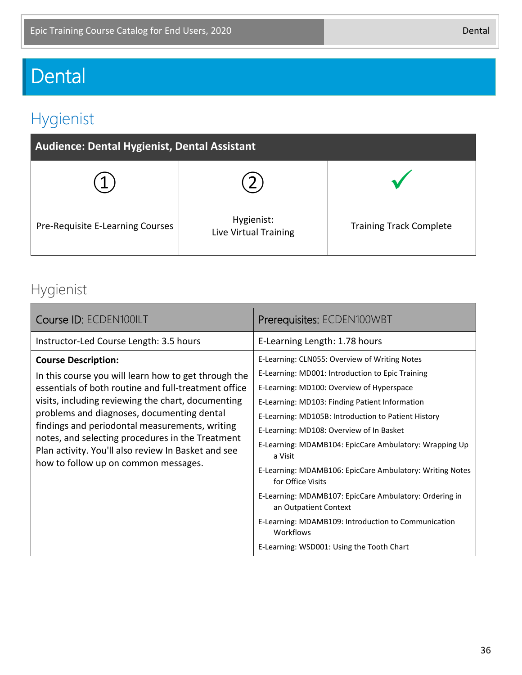# Dental

## Hygienist

| <b>Audience: Dental Hygienist, Dental Assistant</b> |                                     |                                |  |  |
|-----------------------------------------------------|-------------------------------------|--------------------------------|--|--|
|                                                     |                                     |                                |  |  |
| Pre-Requisite E-Learning Courses                    | Hygienist:<br>Live Virtual Training | <b>Training Track Complete</b> |  |  |

### Hygienist

| Course ID: ECDEN100ILT                                                                                                                                                                                                                                                                                                                                                                                                                              | Prerequisites: ECDEN100WBT                                                                                                                                                                                                                                                                                                                                                                                                                                                                                                                                                                                                                                    |
|-----------------------------------------------------------------------------------------------------------------------------------------------------------------------------------------------------------------------------------------------------------------------------------------------------------------------------------------------------------------------------------------------------------------------------------------------------|---------------------------------------------------------------------------------------------------------------------------------------------------------------------------------------------------------------------------------------------------------------------------------------------------------------------------------------------------------------------------------------------------------------------------------------------------------------------------------------------------------------------------------------------------------------------------------------------------------------------------------------------------------------|
| Instructor-Led Course Length: 3.5 hours                                                                                                                                                                                                                                                                                                                                                                                                             | E-Learning Length: 1.78 hours                                                                                                                                                                                                                                                                                                                                                                                                                                                                                                                                                                                                                                 |
| <b>Course Description:</b><br>In this course you will learn how to get through the<br>essentials of both routine and full-treatment office<br>visits, including reviewing the chart, documenting<br>problems and diagnoses, documenting dental<br>findings and periodontal measurements, writing<br>notes, and selecting procedures in the Treatment<br>Plan activity. You'll also review In Basket and see<br>how to follow up on common messages. | E-Learning: CLN055: Overview of Writing Notes<br>E-Learning: MD001: Introduction to Epic Training<br>E-Learning: MD100: Overview of Hyperspace<br>E-Learning: MD103: Finding Patient Information<br>E-Learning: MD105B: Introduction to Patient History<br>E-Learning: MD108: Overview of In Basket<br>E-Learning: MDAMB104: EpicCare Ambulatory: Wrapping Up<br>a Visit<br>E-Learning: MDAMB106: EpicCare Ambulatory: Writing Notes<br>for Office Visits<br>E-Learning: MDAMB107: EpicCare Ambulatory: Ordering in<br>an Outpatient Context<br>E-Learning: MDAMB109: Introduction to Communication<br>Workflows<br>E-Learning: WSD001: Using the Tooth Chart |

36